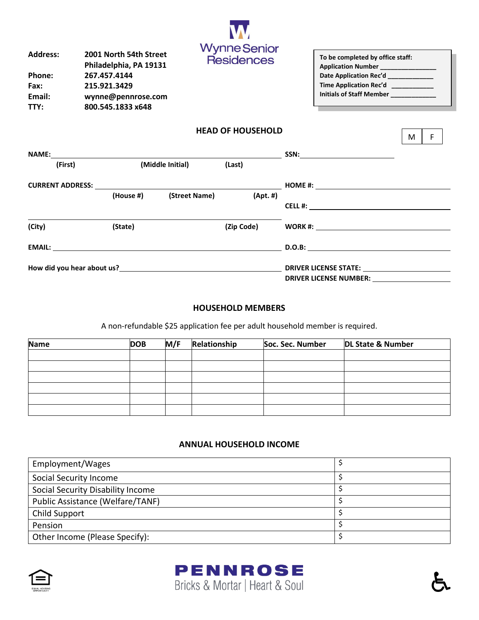| <b>Address:</b> | 2001 North 54th Street |
|-----------------|------------------------|
|                 | Philadelphia, PA 19131 |
| <b>Phone:</b>   | 267.457.4144           |
| Fax:            | 215.921.3429           |
| Email:          | wynne@pennrose.com     |
| TTY:            | 800.545.1833 x648      |
|                 |                        |



| To be completed by office staff: |  |
|----------------------------------|--|
| Application Number __________    |  |
| Date Application Rec'd ________  |  |
| Time Application Rec'd           |  |
| Initials of Staff Member _       |  |
|                                  |  |

 $M \mid F$ 

| <b>NAME:</b>                                             |           |                  |                              | SSN: _________________________            |
|----------------------------------------------------------|-----------|------------------|------------------------------|-------------------------------------------|
| (First)                                                  |           | (Middle Initial) | (Last)                       |                                           |
| <b>CURRENT ADDRESS:</b>                                  |           |                  |                              | HOME #: $\qquad \qquad \qquad$            |
|                                                          | (House #) | (Street Name)    | (Apt.  #)                    |                                           |
|                                                          |           |                  |                              | <b>CELL #:</b> <u>___________________</u> |
| (City)                                                   | (State)   |                  | (Zip Code)                   | <b>WORK #: _______________________</b>    |
|                                                          |           |                  |                              |                                           |
| How did you hear about us?<br>Now did you hear about us? |           |                  | <b>DRIVER LICENSE STATE:</b> |                                           |
|                                                          |           |                  |                              | <b>DRIVER LICENSE NUMBER:</b>             |

## **HOUSEHOLD MEMBERS**

A non-refundable \$25 application fee per adult household member is required.

| <b>Name</b> | <b>DOB</b> | M/F | Relationship | Soc. Sec. Number | DL State & Number |
|-------------|------------|-----|--------------|------------------|-------------------|
|             |            |     |              |                  |                   |
|             |            |     |              |                  |                   |
|             |            |     |              |                  |                   |
|             |            |     |              |                  |                   |
|             |            |     |              |                  |                   |
|             |            |     |              |                  |                   |

## **ANNUAL HOUSEHOLD INCOME**

| Employment/Wages                  |  |
|-----------------------------------|--|
| Social Security Income            |  |
| Social Security Disability Income |  |
| Public Assistance (Welfare/TANF)  |  |
| Child Support                     |  |
| Pension                           |  |
| Other Income (Please Specify):    |  |